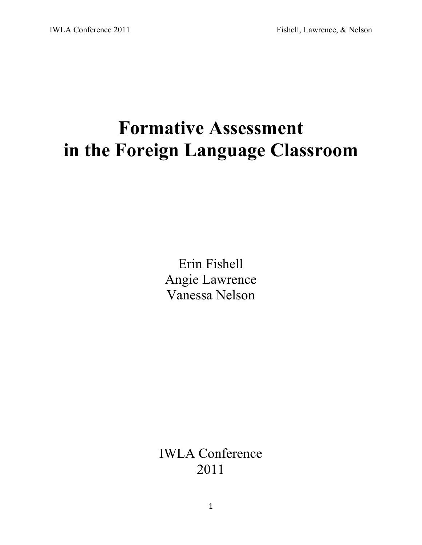# **Formative Assessment in the Foreign Language Classroom**

Erin Fishell Angie Lawrence Vanessa Nelson

IWLA Conference 2011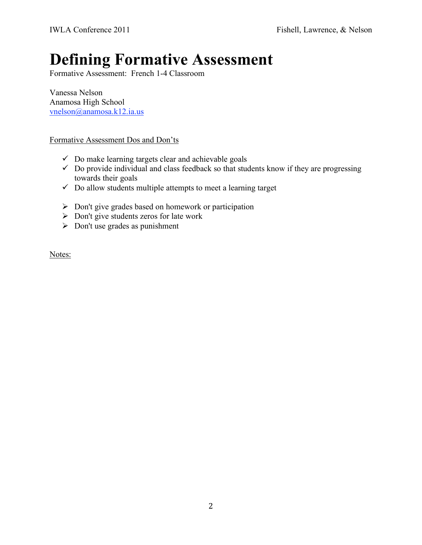## **Defining Formative Assessment**

Formative Assessment: French 1-4 Classroom

Vanessa Nelson Anamosa High School vnelson@anamosa.k12.ia.us

#### Formative Assessment Dos and Don'ts

- $\checkmark$  Do make learning targets clear and achievable goals
- $\checkmark$  Do provide individual and class feedback so that students know if they are progressing towards their goals
- $\checkmark$  Do allow students multiple attempts to meet a learning target
- $\triangleright$  Don't give grades based on homework or participation
- $\triangleright$  Don't give students zeros for late work
- $\triangleright$  Don't use grades as punishment

Notes: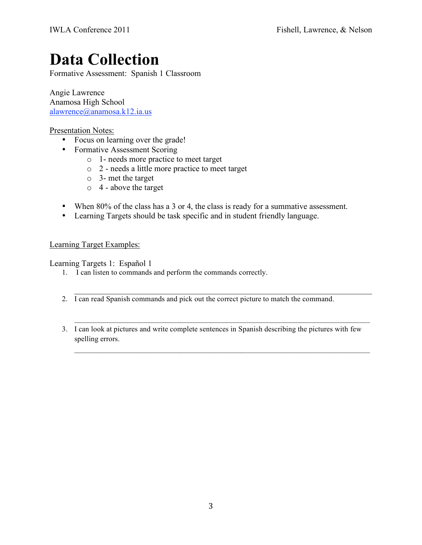## **Data Collection**

Formative Assessment: Spanish 1 Classroom

Angie Lawrence Anamosa High School alawrence@anamosa.k12.ia.us

### Presentation Notes:

- Focus on learning over the grade!
- Formative Assessment Scoring
	- o 1- needs more practice to meet target
	- o 2 needs a little more practice to meet target
	- o 3- met the target
	- o 4 above the target
- When 80% of the class has a 3 or 4, the class is ready for a summative assessment.
- Learning Targets should be task specific and in student friendly language.

#### Learning Target Examples:

Learning Targets 1: Español 1

- 1. I can listen to commands and perform the commands correctly.
- 2. I can read Spanish commands and pick out the correct picture to match the command.
- 3. I can look at pictures and write complete sentences in Spanish describing the pictures with few spelling errors.

 $\mathcal{L}_\text{max}$  , and the contribution of the contribution of the contribution of the contribution of the contribution of the contribution of the contribution of the contribution of the contribution of the contribution of t

\_\_\_\_\_\_\_\_\_\_\_\_\_\_\_\_\_\_\_\_\_\_\_\_\_\_\_\_\_\_\_\_\_\_\_\_\_\_\_\_\_\_\_\_\_\_\_\_\_\_\_\_\_\_\_\_\_\_\_\_\_\_\_\_\_\_\_\_\_\_\_\_\_\_\_\_\_\_

 $\mathcal{L}_\text{max} = \mathcal{L}_\text{max} = \mathcal{L}_\text{max} = \mathcal{L}_\text{max} = \mathcal{L}_\text{max} = \mathcal{L}_\text{max} = \mathcal{L}_\text{max} = \mathcal{L}_\text{max} = \mathcal{L}_\text{max} = \mathcal{L}_\text{max} = \mathcal{L}_\text{max} = \mathcal{L}_\text{max} = \mathcal{L}_\text{max} = \mathcal{L}_\text{max} = \mathcal{L}_\text{max} = \mathcal{L}_\text{max} = \mathcal{L}_\text{max} = \mathcal{L}_\text{max} = \mathcal{$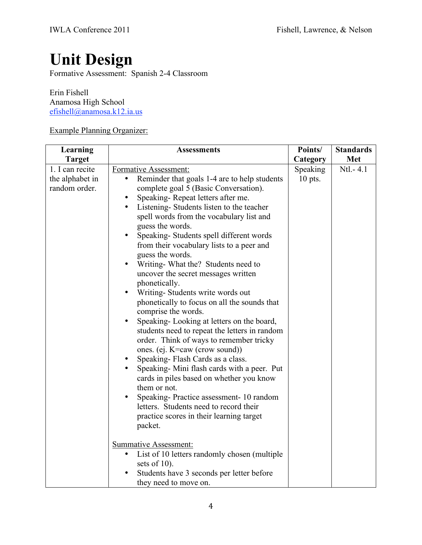## **Unit Design**

Formative Assessment: Spanish 2-4 Classroom

Erin Fishell Anamosa High School efishell@anamosa.k12.ia.us

## Example Planning Organizer:

| Learning                                            | <b>Assessments</b>                                                                                                                                                                                                                                                                                                                                                                                                                                                                                                                                                                                                                                                                                                                                                                                                                                                                                                                                                                                                                                                                                                              | Points/               | <b>Standards</b> |
|-----------------------------------------------------|---------------------------------------------------------------------------------------------------------------------------------------------------------------------------------------------------------------------------------------------------------------------------------------------------------------------------------------------------------------------------------------------------------------------------------------------------------------------------------------------------------------------------------------------------------------------------------------------------------------------------------------------------------------------------------------------------------------------------------------------------------------------------------------------------------------------------------------------------------------------------------------------------------------------------------------------------------------------------------------------------------------------------------------------------------------------------------------------------------------------------------|-----------------------|------------------|
| <b>Target</b>                                       |                                                                                                                                                                                                                                                                                                                                                                                                                                                                                                                                                                                                                                                                                                                                                                                                                                                                                                                                                                                                                                                                                                                                 | Category              | Met              |
| 1. I can recite<br>the alphabet in<br>random order. | Formative Assessment:<br>Reminder that goals 1-4 are to help students<br>٠<br>complete goal 5 (Basic Conversation).<br>Speaking-Repeat letters after me.<br>Listening-Students listen to the teacher<br>$\bullet$<br>spell words from the vocabulary list and<br>guess the words.<br>Speaking-Students spell different words<br>from their vocabulary lists to a peer and<br>guess the words.<br>Writing-What the? Students need to<br>$\bullet$<br>uncover the secret messages written<br>phonetically.<br>Writing-Students write words out<br>$\bullet$<br>phonetically to focus on all the sounds that<br>comprise the words.<br>Speaking-Looking at letters on the board,<br>$\bullet$<br>students need to repeat the letters in random<br>order. Think of ways to remember tricky<br>ones. (ej. K=caw (crow sound))<br>Speaking-Flash Cards as a class.<br>Speaking- Mini flash cards with a peer. Put<br>cards in piles based on whether you know<br>them or not.<br>Speaking-Practice assessment-10 random<br>$\bullet$<br>letters. Students need to record their<br>practice scores in their learning target<br>packet. | Speaking<br>$10$ pts. | $Ntl. - 4.1$     |
|                                                     | <b>Summative Assessment:</b><br>List of 10 letters randomly chosen (multiple<br>$\bullet$<br>sets of $10$ ).<br>Students have 3 seconds per letter before<br>they need to move on.                                                                                                                                                                                                                                                                                                                                                                                                                                                                                                                                                                                                                                                                                                                                                                                                                                                                                                                                              |                       |                  |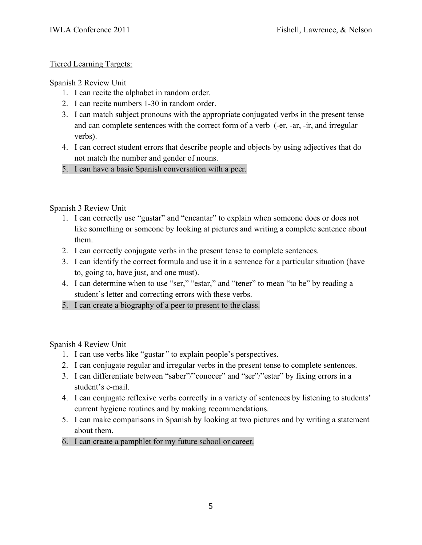## Tiered Learning Targets:

## Spanish 2 Review Unit

- 1. I can recite the alphabet in random order.
- 2. I can recite numbers 1-30 in random order.
- 3. I can match subject pronouns with the appropriate conjugated verbs in the present tense and can complete sentences with the correct form of a verb (-er, -ar, -ir, and irregular verbs).
- 4. I can correct student errors that describe people and objects by using adjectives that do not match the number and gender of nouns.
- 5. I can have a basic Spanish conversation with a peer.

## Spanish 3 Review Unit

- 1. I can correctly use "gustar" and "encantar" to explain when someone does or does not like something or someone by looking at pictures and writing a complete sentence about them.
- 2. I can correctly conjugate verbs in the present tense to complete sentences.
- 3. I can identify the correct formula and use it in a sentence for a particular situation (have to, going to, have just, and one must).
- 4. I can determine when to use "ser," "estar," and "tener" to mean "to be" by reading a student's letter and correcting errors with these verbs.
- 5. I can create a biography of a peer to present to the class.

Spanish 4 Review Unit

- 1. I can use verbs like "gustar*"* to explain people's perspectives.
- 2. I can conjugate regular and irregular verbs in the present tense to complete sentences.
- 3. I can differentiate between "saber"/"conocer" and "ser"/"estar" by fixing errors in a student's e-mail.
- 4. I can conjugate reflexive verbs correctly in a variety of sentences by listening to students' current hygiene routines and by making recommendations.
- 5. I can make comparisons in Spanish by looking at two pictures and by writing a statement about them.
- 6. I can create a pamphlet for my future school or career.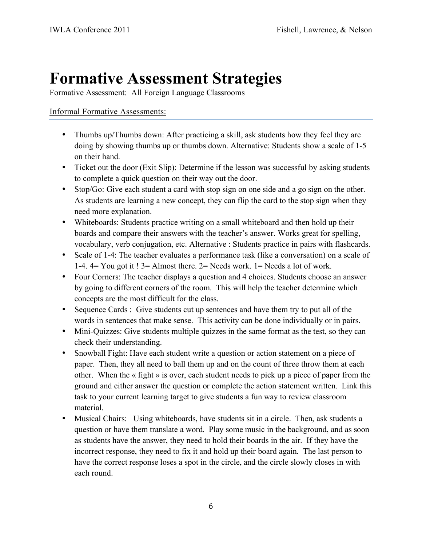## **Formative Assessment Strategies**

Formative Assessment: All Foreign Language Classrooms

## Informal Formative Assessments:

- Thumbs up/Thumbs down: After practicing a skill, ask students how they feel they are doing by showing thumbs up or thumbs down. Alternative: Students show a scale of 1-5 on their hand.
- Ticket out the door (Exit Slip): Determine if the lesson was successful by asking students to complete a quick question on their way out the door.
- Stop/Go: Give each student a card with stop sign on one side and a go sign on the other. As students are learning a new concept, they can flip the card to the stop sign when they need more explanation.
- Whiteboards: Students practice writing on a small whiteboard and then hold up their boards and compare their answers with the teacher's answer. Works great for spelling, vocabulary, verb conjugation, etc. Alternative : Students practice in pairs with flashcards.
- Scale of 1-4: The teacher evaluates a performance task (like a conversation) on a scale of 1-4. 4= You got it ! 3= Almost there. 2= Needs work. 1= Needs a lot of work.
- Four Corners: The teacher displays a question and 4 choices. Students choose an answer by going to different corners of the room. This will help the teacher determine which concepts are the most difficult for the class.
- Sequence Cards : Give students cut up sentences and have them try to put all of the words in sentences that make sense. This activity can be done individually or in pairs.
- Mini-Quizzes: Give students multiple quizzes in the same format as the test, so they can check their understanding.
- Snowball Fight: Have each student write a question or action statement on a piece of paper. Then, they all need to ball them up and on the count of three throw them at each other. When the « fight » is over, each student needs to pick up a piece of paper from the ground and either answer the question or complete the action statement written. Link this task to your current learning target to give students a fun way to review classroom material.
- Musical Chairs: Using whiteboards, have students sit in a circle. Then, ask students a question or have them translate a word. Play some music in the background, and as soon as students have the answer, they need to hold their boards in the air. If they have the incorrect response, they need to fix it and hold up their board again. The last person to have the correct response loses a spot in the circle, and the circle slowly closes in with each round.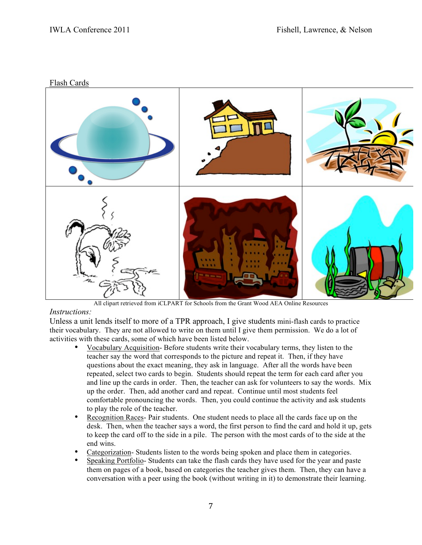

All clipart retrieved from iCLPART for Schools from the Grant Wood AEA Online Resources

#### *Instructions:*

Unless a unit lends itself to more of a TPR approach, I give students mini-flash cards to practice their vocabulary. They are not allowed to write on them until I give them permission. We do a lot of activities with these cards, some of which have been listed below.

- Vocabulary Acquisition- Before students write their vocabulary terms, they listen to the teacher say the word that corresponds to the picture and repeat it. Then, if they have questions about the exact meaning, they ask in language. After all the words have been repeated, select two cards to begin. Students should repeat the term for each card after you and line up the cards in order. Then, the teacher can ask for volunteers to say the words. Mix up the order. Then, add another card and repeat. Continue until most students feel comfortable pronouncing the words. Then, you could continue the activity and ask students to play the role of the teacher.
- Recognition Races- Pair students. One student needs to place all the cards face up on the desk. Then, when the teacher says a word, the first person to find the card and hold it up, gets to keep the card off to the side in a pile. The person with the most cards of to the side at the end wins.
- Categorization- Students listen to the words being spoken and place them in categories.
- Speaking Portfolio- Students can take the flash cards they have used for the year and paste them on pages of a book, based on categories the teacher gives them. Then, they can have a conversation with a peer using the book (without writing in it) to demonstrate their learning.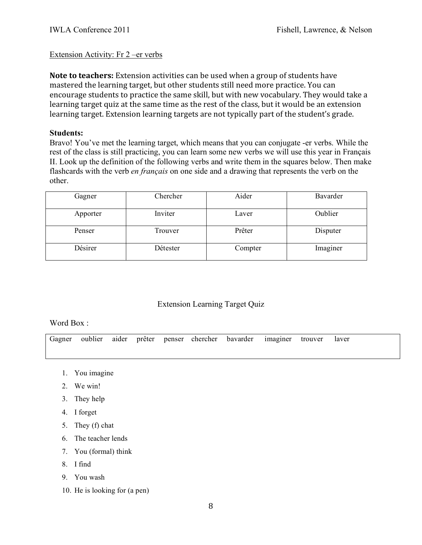### Extension Activity: Fr 2 –er verbs

Note to teachers: Extension activities can be used when a group of students have mastered
the
learning
target,
but
other
students
still
need
more
practice.
You
can encourage students to practice the same skill, but with new vocabulary. They would take a learning target quiz at the same time as the rest of the class, but it would be an extension learning target. Extension learning targets are not typically part of the student's grade.

#### **Students:**

Bravo! You've met the learning target, which means that you can conjugate -er verbs. While the rest of the class is still practicing, you can learn some new verbs we will use this year in Français II. Look up the definition of the following verbs and write them in the squares below. Then make flashcards with the verb *en français* on one side and a drawing that represents the verb on the other.

| Gagner   | Chercher | Aider   | Bavarder |
|----------|----------|---------|----------|
| Apporter | Inviter  | Laver   | Oublier  |
| Penser   | Trouver  | Prêter  | Disputer |
| Désirer  | Détester | Compter | Imaginer |

## Extension Learning Target Quiz

#### Word Box:

Gagner oublier aider prêter penser chercher bavarder imaginer trouver laver

- 1. You imagine
- 2. We win!
- 3. They help
- 4. I forget
- 5. They (f) chat
- 6. The teacher lends
- 7. You (formal) think
- 8. I find
- 9. You wash
- 10. He is looking for (a pen)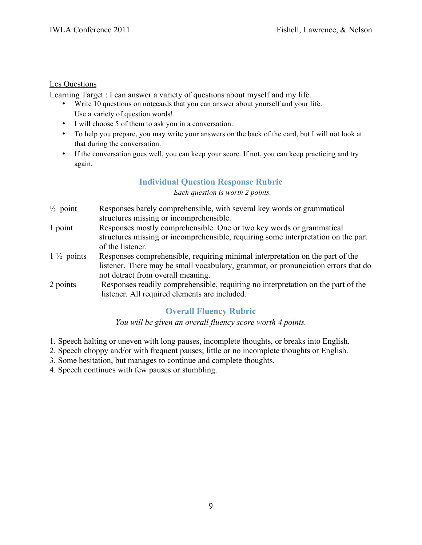## Les Questions

Learning Target : I can answer a variety of questions about myself and my life.

- Write 10 questions on notecards that you can answer about yourself and your life. Use a variety of question words!
- I will choose 5 of them to ask you in a conversation.
- To help you prepare, you may write your answers on the back of the card, but I will not look at that during the conversation.
- If the conversation goes well, you can keep your score. If not, you can keep practicing and try again.

## **Individual Question Response Rubric**

#### *Each question is worth 2 points.*

- $\frac{1}{2}$  point Responses barely comprehensible, with several key words or grammatical structures missing or incomprehensible.
- 1 point Responses mostly comprehensible. One or two key words or grammatical structures missing or incomprehensible, requiring some interpretation on the part of the listener.
- 1 ½ points Responses comprehensible, requiring minimal interpretation on the part of the listener. There may be small vocabulary, grammar, or pronunciation errors that do not detract from overall meaning.
- 2 points Responses readily comprehensible, requiring no interpretation on the part of the listener. All required elements are included.

## **Overall Fluency Rubric**

*You will be given an overall fluency score worth 4 points.*

- 1. Speech halting or uneven with long pauses, incomplete thoughts, or breaks into English.
- 2. Speech choppy and/or with frequent pauses; little or no incomplete thoughts or English.
- 3. Some hesitation, but manages to continue and complete thoughts.
- 4. Speech continues with few pauses or stumbling.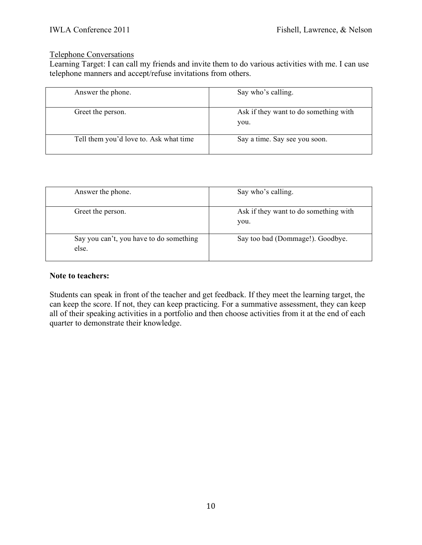#### Telephone Conversations

Learning Target: I can call my friends and invite them to do various activities with me. I can use telephone manners and accept/refuse invitations from others.

| Answer the phone.                      | Say who's calling.                            |  |
|----------------------------------------|-----------------------------------------------|--|
| Greet the person.                      | Ask if they want to do something with<br>you. |  |
| Tell them you'd love to. Ask what time | Say a time. Say see you soon.                 |  |

| Answer the phone.                                | Say who's calling.                            |
|--------------------------------------------------|-----------------------------------------------|
| Greet the person.                                | Ask if they want to do something with<br>you. |
| Say you can't, you have to do something<br>else. | Say too bad (Dommage!). Goodbye.              |

#### **Note to teachers:**

Students can speak in front of the teacher and get feedback. If they meet the learning target, the can keep the score. If not, they can keep practicing. For a summative assessment, they can keep all of their speaking activities in a portfolio and then choose activities from it at the end of each quarter to demonstrate their knowledge.